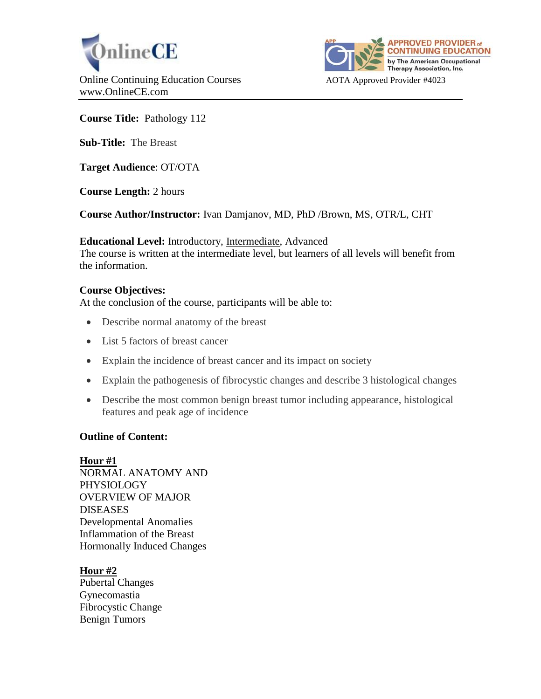



**Course Title:** Pathology 112

**Sub-Title:** The Breast

**Target Audience**: OT/OTA

**Course Length:** 2 hours

**Course Author/Instructor:** Ivan Damjanov, MD, PhD /Brown, MS, OTR/L, CHT

**Educational Level:** Introductory, Intermediate, Advanced The course is written at the intermediate level, but learners of all levels will benefit from the information.

## **Course Objectives:**

At the conclusion of the course, participants will be able to:

- Describe normal anatomy of the breast
- List 5 factors of breast cancer
- Explain the incidence of breast cancer and its impact on society
- Explain the pathogenesis of fibrocystic changes and describe 3 histological changes
- Describe the most common benign breast tumor including appearance, histological features and peak age of incidence

## **Outline of Content:**

## **Hour #1**

NORMAL ANATOMY AND PHYSIOLOGY OVERVIEW OF MAJOR DISEASES Developmental Anomalies Inflammation of the Breast Hormonally Induced Changes

## **Hour #2**

Pubertal Changes Gynecomastia Fibrocystic Change Benign Tumors